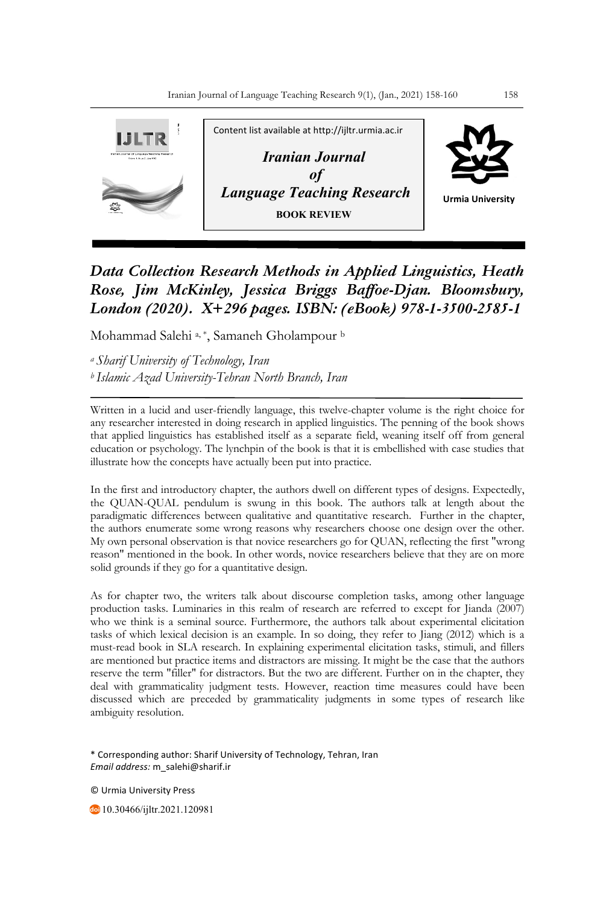

*Data Collection Research Methods in Applied Linguistics, Heath Rose, Jim McKinley, Jessica Briggs Baffoe-Djan. Bloomsbury, London (2020). X+296 pages. ISBN: (eBook) 978-1-3500-2585-1*

Mohammad Salehi<sup>a,\*</sup>, Samaneh Gholampour b

*a Sharif University of Technology, Iran b Islamic Azad University-Tehran North Branch, Iran*

Written in a lucid and user-friendly language, this twelve-chapter volume is the right choice for any researcher interested in doing research in applied linguistics. The penning of the book shows that applied linguistics has established itself as a separate field, weaning itself off from general education or psychology. The lynchpin of the book is that it is embellished with case studies that illustrate how the concepts have actually been put into practice.

In the first and introductory chapter, the authors dwell on different types of designs. Expectedly, the QUAN-QUAL pendulum is swung in this book. The authors talk at length about the paradigmatic differences between qualitative and quantitative research. Further in the chapter, the authors enumerate some wrong reasons why researchers choose one design over the other. My own personal observation is that novice researchers go for QUAN, reflecting the first "wrong reason" mentioned in the book. In other words, novice researchers believe that they are on more solid grounds if they go for a quantitative design.

As for chapter two, the writers talk about discourse completion tasks, among other language production tasks. Luminaries in this realm of research are referred to except for Jianda (2007) who we think is a seminal source. Furthermore, the authors talk about experimental elicitation tasks of which lexical decision is an example. In so doing, they refer to Jiang (2012) which is a must-read book in SLA research. In explaining experimental elicitation tasks, stimuli, and fillers are mentioned but practice items and distractors are missing. It might be the case that the authors reserve the term "filler" for distractors. But the two are different. Further on in the chapter, they deal with grammaticality judgment tests. However, reaction time measures could have been discussed which are preceded by grammaticality judgments in some types of research like ambiguity resolution.

\* Corresponding author: Sharif University of Technology, Tehran, Iran *Email address:* m\_salehi@sharif.ir

© Urmia University Press

10.30466/ijltr.2021.120981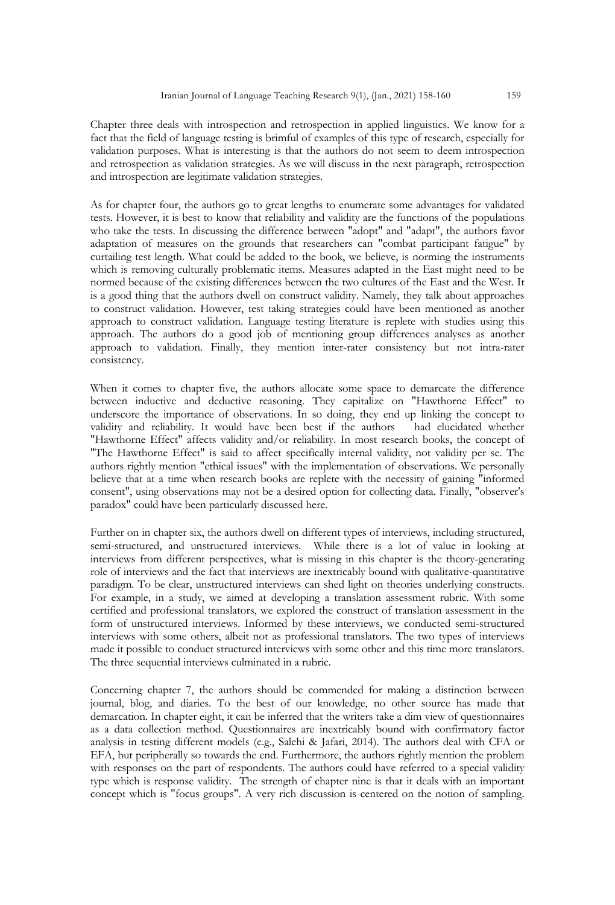Chapter three deals with introspection and retrospection in applied linguistics. We know for a fact that the field of language testing is brimful of examples of this type of research, especially for validation purposes. What is interesting is that the authors do not seem to deem introspection and retrospection as validation strategies. As we will discuss in the next paragraph, retrospection and introspection are legitimate validation strategies.

As for chapter four, the authors go to great lengths to enumerate some advantages for validated tests. However, it is best to know that reliability and validity are the functions of the populations who take the tests. In discussing the difference between "adopt" and "adapt", the authors favor adaptation of measures on the grounds that researchers can "combat participant fatigue" by curtailing test length. What could be added to the book, we believe, is norming the instruments which is removing culturally problematic items. Measures adapted in the East might need to be normed because of the existing differences between the two cultures of the East and the West. It is a good thing that the authors dwell on construct validity. Namely, they talk about approaches to construct validation. However, test taking strategies could have been mentioned as another approach to construct validation. Language testing literature is replete with studies using this approach. The authors do a good job of mentioning group differences analyses as another approach to validation. Finally, they mention inter-rater consistency but not intra-rater consistency.

When it comes to chapter five, the authors allocate some space to demarcate the difference between inductive and deductive reasoning. They capitalize on "Hawthorne Effect" to underscore the importance of observations. In so doing, they end up linking the concept to validity and reliability. It would have been best if the authors had elucidated whether "Hawthorne Effect" affects validity and/or reliability. In most research books, the concept of "The Hawthorne Effect" is said to affect specifically internal validity, not validity per se. The authors rightly mention "ethical issues" with the implementation of observations. We personally believe that at a time when research books are replete with the necessity of gaining "informed consent", using observations may not be a desired option for collecting data. Finally, "observer's paradox" could have been particularly discussed here.

Further on in chapter six, the authors dwell on different types of interviews, including structured, semi-structured, and unstructured interviews. While there is a lot of value in looking at interviews from different perspectives, what is missing in this chapter is the theory-generating role of interviews and the fact that interviews are inextricably bound with qualitative-quantitative paradigm. To be clear, unstructured interviews can shed light on theories underlying constructs. For example, in a study, we aimed at developing a translation assessment rubric. With some certified and professional translators, we explored the construct of translation assessment in the form of unstructured interviews. Informed by these interviews, we conducted semi-structured interviews with some others, albeit not as professional translators. The two types of interviews made it possible to conduct structured interviews with some other and this time more translators. The three sequential interviews culminated in a rubric.

Concerning chapter 7, the authors should be commended for making a distinction between journal, blog, and diaries. To the best of our knowledge, no other source has made that demarcation. In chapter eight, it can be inferred that the writers take a dim view of questionnaires as a data collection method. Questionnaires are inextricably bound with confirmatory factor analysis in testing different models (e.g., Salehi & Jafari, 2014). The authors deal with CFA or EFA, but peripherally so towards the end. Furthermore, the authors rightly mention the problem with responses on the part of respondents. The authors could have referred to a special validity type which is response validity. The strength of chapter nine is that it deals with an important concept which is "focus groups". A very rich discussion is centered on the notion of sampling.